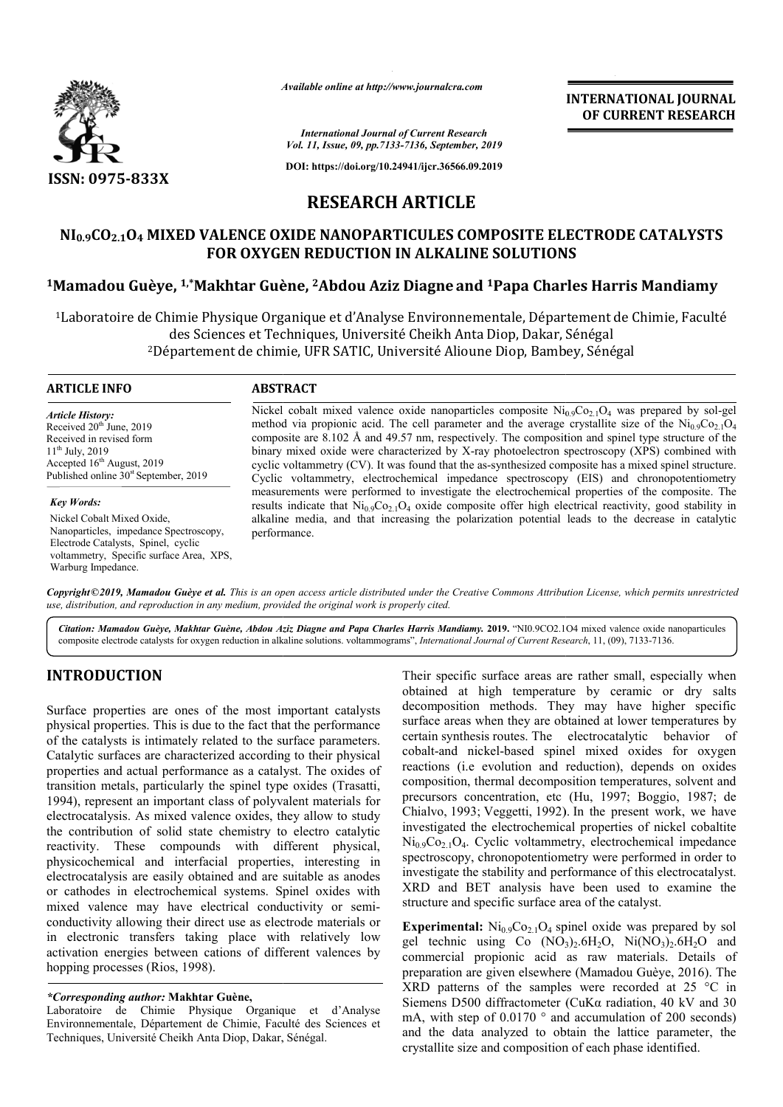

*Available online at http://www.journalcra.com*

**INTERNATIONAL JOURNAL OF CURRENT RESEARCH**

*International Journal of Current Research Vol. 11, Issue, 09, pp.7133-7136, September, 2019*

**DOI: https://doi.org/10.24941/ijcr.36566.09.2019**

## **RESEARCH ARTICLE**

# **NI0.9CO2.1O4 MIXED VALENCE OXIDE NANOPARTICULES COMPOSITE ELECTRODE CATALYSTS FOR OXYGEN REDUCTION IN ALKALINE SOLUTIONS** NI<sub>0.9</sub>CO<sub>2.1</sub>O4 MIXED VALENCE OXIDE NANOPARTICULES COMPOSITE ELECTRODE CATALYST:<br>FOR OXYGEN REDUCTION IN ALKALINE SOLUTIONS<br>Mamadou Guèye, <sup>1,\*</sup>Makhtar Guène, <sup>2</sup>Abdou Aziz Diagne and <sup>1</sup>Papa Charles Harris Mandiamy!

1Laboratoire de Chimie Physique Organique et d'Analyse Environnementale, Département de Chimie, Faculté Laboratoire Diop, Dakar, Sénégal des Sciences et Techniques, Université Cheikh Anta Diop, Dakar, Sénégal des Sciences et Techniques, Université Cheikh Anta Diop, Dakar, Sénégal<br>2Département de chimie, UFR SATIC, Université Alioune Diop, Bambey, Sénégal

### **ARTICLE INFO ABSTRACT**

*Article History:* Received  $20<sup>th</sup>$  June, 2019 Received in revised form 11th July, 2019 Accepted  $16<sup>th</sup>$  August, 2019 Published online  $30<sup>st</sup>$  September, 2019

*Key Words:*

Nickel Cobalt Mixed Oxide, Nanoparticles, impedance Spectroscopy, Electrode Catalysts, Spinel, cyclic voltammetry, Specific surface Area, XPS, Warburg Impedance.

Nickel cobalt mixed valence oxide nanoparticles composite  $Ni<sub>0.9</sub>Co<sub>2.1</sub>O<sub>4</sub>$  was prepared by sol-gel method via propionic acid. The cell parameter and the average crystallite size of the  $Ni_{0.9}Co_{2.1}O_4$ composite are 8.102 Å and 49.57 nm, respectively. The composition and spinel type structure of the binary mixed oxide were characterized by X X-ray photoelectron spectroscopy (XPS) combined with cyclic voltammetry (CV). It was found that the as-synthesized composite has a mixed spinel structure. Cyclic voltammetry, electrochemical impedance spectroscopy (EIS) and chronopotentiometry measurements were performed to investigate the electrochemical properties of the composite. The binary mixed oxide were characterized by X-ray photoelectron spectroscopy (XPS) combined with cyclic voltammetry (CV). It was found that the as-synthesized composite has a mixed spinel structure. Cyclic voltammetry, elect alkaline media, and that increasing the polarization potential leads to the decrease in catalytic performance.

Copyright©2019, Mamadou Guèye et al. This is an open access article distributed under the Creative Commons Attribution License, which permits unrestrictea *use, distribution, and reproduction in any medium, provided the original work is properly cited.*

Citation: Mamadou Guèye, Makhtar Guène, Abdou Aziz Diagne and Papa Charles Harris Mandiamy. 2019. "NI0.9CO2.1O4 mixed valence oxide nanoparticules Citation: Mamadou Guèye, Makhtar Guène, Abdou Aziz Diagne and Papa Charles Harris Mandiamy. 2019. "NI0.9CO2.104 mixed valence oxide n<br>composite electrode catalysts for oxygen reduction in alkaline solutions. voltammograms"

## **INTRODUCTION**

Surface properties are ones of the most important catalysts physical properties. This is due to the fact that the performance of the catalysts is intimately related to the surface parameters. Catalytic surfaces are characterized according to their physical properties and actual performance as a catalyst. The oxides of transition metals, particularly the spinel type oxides (Trasatti, 1994), represent an important class of polyvalent materials for electrocatalysis. As mixed valence oxides, they allow to study the contribution of solid state chemistry to electro catalytic reactivity. These compounds with different physical, physicochemical and interfacial properties, interesting in electrocatalysis are easily obtained and are suitable as anodes or cathodes in electrochemical systems. Spinel oxides with electrocatalysis are easily obtained and are suitable as anodes<br>or cathodes in electrochemical systems. Spinel oxides with<br>mixed valence may have electrical conductivity or semiconductivity allowing their direct use as electrode materials or in electronic transfers taking place with relatively low activation energies between cations of different valences by hopping processes (Rios, 1998).

## *\*Corresponding author:* **Makhtar Guène,**

Laboratoire de Chimie Physique Organique et d'Analyse Environnementale, Département de Chimie, Faculté des Sciences et Techniques, Université Cheikh Anta Diop, Dakar, Sénégal.

Their specific surface areas are rather small, especially when<br>
uportant catalysts<br>
decomposition methods. They may have higher specific<br>
that the performance<br>
surface areas when they are obtained at lower temperatures by Their specific surface areas are rather small, especially when obtained at high temperature by ceramic or dry salts decomposition methods. They may have higher specific decomposition methods. They may have higher specific surface areas when they are obtained at lower temperatures by certain synthesis routes. The electrocatalytic behavior of certain synthesis routes. The electrocatalytic behavior of cobalt-and nickel-based spinel mixed oxides for oxygen reactions (i.e evolution and reduction), depends on oxides composition, thermal decomposition temperatures, solvent and precursors concentration, etc (Hu, 1997; Boggio, 1987; de Chialvo, 1993; Veggetti, 1992) ). In the present work, we have investigated the electrochemical properties of nickel cobaltite  $Ni<sub>0.9</sub>Co<sub>2.1</sub>O<sub>4</sub>$ . Cyclic voltammetry, electrochemical impedance spectroscopy, chronopotentiometry were performed in order to investigate the stability and performance of this electrocatalyst. XRD and BET analysis have been used to examine the structure and specific surface area of the catalyst. by, chronopotentiometry were performed in order to the stability and performance of this electrocatalyst.<br>BET analysis have been used to examine the

**Experimental:**  $Ni<sub>0.9</sub>Co<sub>2.1</sub>O<sub>4</sub>$  spinel oxide was prepared by sol **Experimental:**  $Ni_{0.9}Co_{2.1}O_4$  spinel oxide was prepared by sol gel technic using Co  $(NO_3)_2.6H_2O$ ,  $Ni(NO_3)_2.6H_2O$  and commercial propionic acid as raw materials. Details of preparation are given elsewhere (Mamadou Guèye, 2016). The XRD patterns of the samples were recorded at  $25 \text{ °C}$  in Siemens D500 diffractometer (CuKα radiation, 40 kV and 30 Siemens D500 diffractometer (CuK $\alpha$  radiation, 40 kV and 30 mA, with step of 0.0170  $\degree$  and accumulation of 200 seconds) and the data analyzed to obtain the lattice parameter, the crystallite size and composition of each phase identified. crystallite size and composition of each phase identi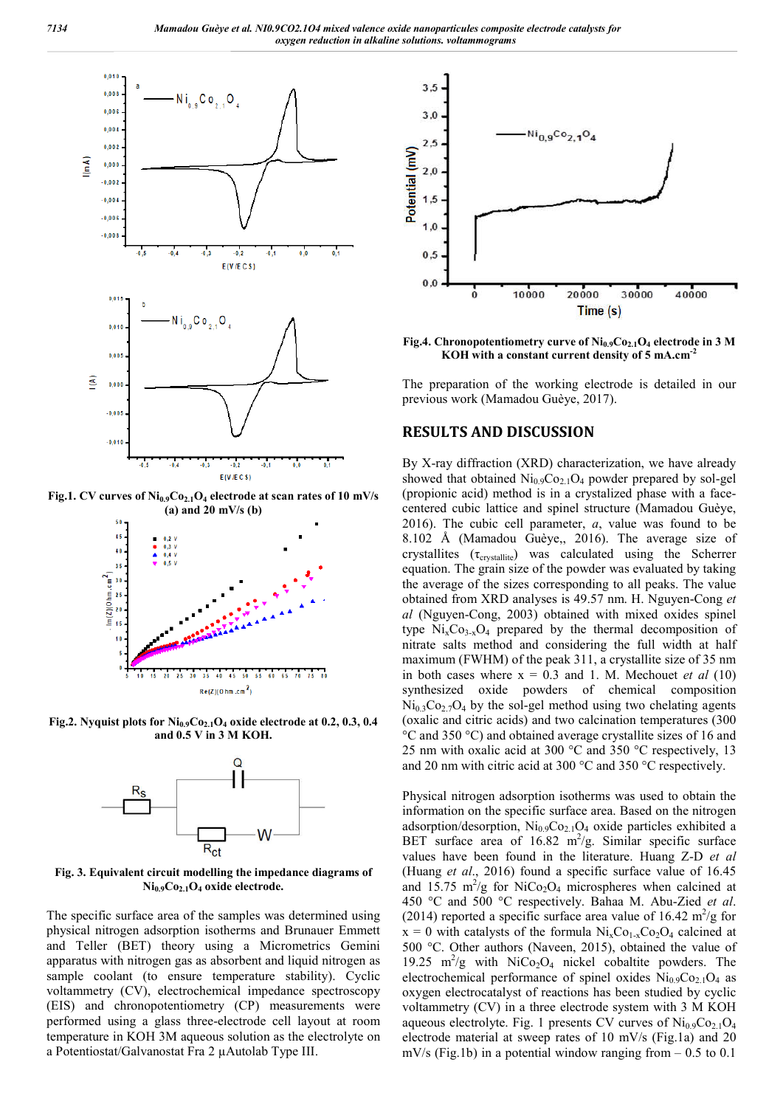

Fig.1. CV curves of  $Ni<sub>0.9</sub>Co<sub>2.1</sub>O<sub>4</sub>$  electrode at scan rates of 10 mV/s **(a) and 20 mV/s (b)**



**Fig.2. Nyquist plots for Ni0.9Co2.1O4 oxide electrode at 0.2, 0.3, 0.4 and 0.5 V in 3 M KOH.**



**Fig. 3. Equivalent circuit modelling the impedance diagrams of Ni0.9Co2.1O4 oxide electrode.**

The specific surface area of the samples was determined using physical nitrogen adsorption isotherms and Brunauer Emmett and Teller (BET) theory using a Micrometrics Gemini apparatus with nitrogen gas as absorbent and liquid nitrogen as sample coolant (to ensure temperature stability). Cyclic voltammetry (CV), electrochemical impedance spectroscopy (EIS) and chronopotentiometry (CP) measurements were performed using a glass three-electrode cell layout at room temperature in KOH 3M aqueous solution as the electrolyte on a Potentiostat/Galvanostat Fra 2 µAutolab Type III.



**Fig.4. Chronopotentiometry curve of Ni0.9Co2.1O4 electrode in 3 M KOH with a constant current density of 5 mA.cm-2**

The preparation of the working electrode is detailed in our previous work (Mamadou Guèye, 2017).

## **RESULTS AND DISCUSSION**

By X-ray diffraction (XRD) characterization, we have already showed that obtained  $\text{Ni}_{0.9}\text{Co}_{2.1}\text{O}_4$  powder prepared by sol-gel (propionic acid) method is in a crystalized phase with a facecentered cubic lattice and spinel structure (Mamadou Guèye, 2016). The cubic cell parameter, *a*, value was found to be 8.102 Å (Mamadou Guèye,, 2016). The average size of crystallites  $(\tau_{crystalite})$  was calculated using the Scherrer equation. The grain size of the powder was evaluated by taking the average of the sizes corresponding to all peaks. The value obtained from XRD analyses is 49.57 nm. H. Nguyen-Cong *et al* (Nguyen-Cong, 2003) obtained with mixed oxides spinel type  $Ni<sub>x</sub>Co<sub>3-x</sub>O<sub>4</sub>$  prepared by the thermal decomposition of nitrate salts method and considering the full width at half maximum (FWHM) of the peak 311, a crystallite size of 35 nm in both cases where  $x = 0.3$  and 1. M. Mechouet *et al* (10) synthesized oxide powders of chemical composition  $Ni<sub>0.3</sub>Co<sub>2.7</sub>O<sub>4</sub>$  by the sol-gel method using two chelating agents (oxalic and citric acids) and two calcination temperatures (300 °C and 350 °C) and obtained average crystallite sizes of 16 and 25 nm with oxalic acid at 300 °C and 350 °C respectively, 13 and 20 nm with citric acid at 300 °C and 350 °C respectively.

Physical nitrogen adsorption isotherms was used to obtain the information on the specific surface area. Based on the nitrogen adsorption/desorption, Ni<sub>0.9</sub>Co<sub>2.1</sub>O<sub>4</sub> oxide particles exhibited a BET surface area of  $16.82 \text{ m}^2/\text{g}$ . Similar specific surface values have been found in the literature. Huang Z-D *et al* (Huang *et al*., 2016) found a specific surface value of 16.45 and 15.75 m<sup>2</sup>/g for NiCo<sub>2</sub>O<sub>4</sub> microspheres when calcined at 450 °C and 500 °C respectively. Bahaa M. Abu-Zied *et al*. (2014) reported a specific surface area value of 16.42  $m^2/g$  for  $x = 0$  with catalysts of the formula  $Ni<sub>x</sub>Co<sub>1-x</sub>Co<sub>2</sub>O<sub>4</sub>$  calcined at 500 °C. Other authors (Naveen, 2015), obtained the value of 19.25 m<sup>2</sup>/g with NiCo<sub>2</sub>O<sub>4</sub> nickel cobaltite powders. The electrochemical performance of spinel oxides  $Ni<sub>0.9</sub>Co<sub>2.1</sub>O<sub>4</sub>$  as oxygen electrocatalyst of reactions has been studied by cyclic voltammetry (CV) in a three electrode system with 3 M KOH aqueous electrolyte. Fig. 1 presents CV curves of  $\text{Ni}_{0.9}\text{Co}_{2.1}\text{O}_4$ electrode material at sweep rates of 10 mV/s (Fig.1a) and 20  $mV/s$  (Fig.1b) in a potential window ranging from  $-0.5$  to 0.1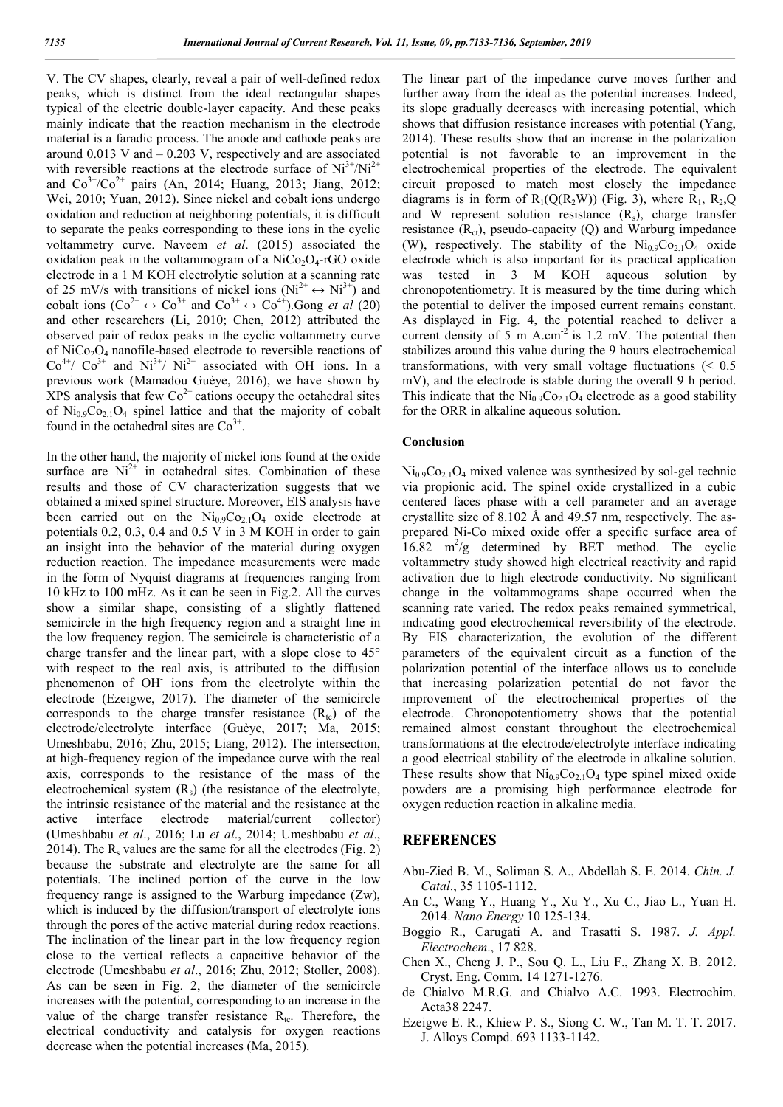V. The CV shapes, clearly, reveal a pair of well-defined redox peaks, which is distinct from the ideal rectangular shapes typical of the electric double-layer capacity. And these peaks mainly indicate that the reaction mechanism in the electrode material is a faradic process. The anode and cathode peaks are around  $0.013$  V and  $-0.203$  V, respectively and are associated with reversible reactions at the electrode surface of  $Ni^{3+}/Ni^{2+}$ and  $Co^{3+}/Co^{2+}$  pairs (An, 2014; Huang, 2013; Jiang, 2012; Wei, 2010; Yuan, 2012). Since nickel and cobalt ions undergo oxidation and reduction at neighboring potentials, it is difficult to separate the peaks corresponding to these ions in the cyclic voltammetry curve. Naveem *et al*. (2015) associated the oxidation peak in the voltammogram of a  $NiCo<sub>2</sub>O<sub>4</sub>$ -rGO oxide electrode in a 1 M KOH electrolytic solution at a scanning rate of 25 mV/s with transitions of nickel ions ( $Ni^{2+} \leftrightarrow Ni^{3+}$ ) and cobalt ions  $(Co^{2+} \leftrightarrow Co^{3+}$  and  $Co^{3+} \leftrightarrow Co^{4+})$ . Gong *et al* (20) and other researchers (Li, 2010; Chen, 2012) attributed the observed pair of redox peaks in the cyclic voltammetry curve of  $NiCo<sub>2</sub>O<sub>4</sub>$  nanofile-based electrode to reversible reactions of  $Co<sup>4+</sup>/ Co<sup>3+</sup>$  and Ni<sup>3+</sup>/ Ni<sup>2+</sup> associated with OH ions. In a previous work (Mamadou Guèye, 2016), we have shown by XPS analysis that few  $Co<sup>2+</sup>$  cations occupy the octahedral sites of  $\text{Ni}_{0.9}\text{Co}_{2.1}\text{O}_4$  spinel lattice and that the majority of cobalt found in the octahedral sites are  $Co<sup>3+</sup>$ .

In the other hand, the majority of nickel ions found at the oxide surface are  $Ni<sup>2+</sup>$  in octahedral sites. Combination of these results and those of CV characterization suggests that we obtained a mixed spinel structure. Moreover, EIS analysis have been carried out on the  $Ni<sub>0.9</sub>Co<sub>2.1</sub>O<sub>4</sub>$  oxide electrode at potentials 0.2, 0.3, 0.4 and 0.5 V in 3 M KOH in order to gain an insight into the behavior of the material during oxygen reduction reaction. The impedance measurements were made in the form of Nyquist diagrams at frequencies ranging from 10 kHz to 100 mHz. As it can be seen in Fig.2. All the curves show a similar shape, consisting of a slightly flattened semicircle in the high frequency region and a straight line in the low frequency region. The semicircle is characteristic of a charge transfer and the linear part, with a slope close to 45° with respect to the real axis, is attributed to the diffusion phenomenon of OH- ions from the electrolyte within the electrode (Ezeigwe, 2017). The diameter of the semicircle corresponds to the charge transfer resistance  $(R_{tc})$  of the electrode/electrolyte interface (Guèye, 2017; Ma, 2015; Umeshbabu, 2016; Zhu, 2015; Liang, 2012). The intersection, at high-frequency region of the impedance curve with the real axis, corresponds to the resistance of the mass of the electrochemical system  $(R_s)$  (the resistance of the electrolyte, the intrinsic resistance of the material and the resistance at the active interface electrode material/current collector) (Umeshbabu *et al*., 2016; Lu *et al*., 2014; Umeshbabu *et al*., 2014). The  $R_s$  values are the same for all the electrodes (Fig. 2) because the substrate and electrolyte are the same for all potentials. The inclined portion of the curve in the low frequency range is assigned to the Warburg impedance (Zw), which is induced by the diffusion/transport of electrolyte ions through the pores of the active material during redox reactions. The inclination of the linear part in the low frequency region close to the vertical reflects a capacitive behavior of the electrode (Umeshbabu *et al*., 2016; Zhu, 2012; Stoller, 2008). As can be seen in Fig. 2, the diameter of the semicircle increases with the potential, corresponding to an increase in the value of the charge transfer resistance  $R_{tc}$ . Therefore, the electrical conductivity and catalysis for oxygen reactions decrease when the potential increases (Ma, 2015).

The linear part of the impedance curve moves further and further away from the ideal as the potential increases. Indeed, its slope gradually decreases with increasing potential, which shows that diffusion resistance increases with potential (Yang, 2014). These results show that an increase in the polarization potential is not favorable to an improvement in the electrochemical properties of the electrode. The equivalent circuit proposed to match most closely the impedance diagrams is in form of  $R_1(Q(R_2W))$  (Fig. 3), where  $R_1$ ,  $R_2$ , Q and W represent solution resistance  $(R_s)$ , charge transfer resistance  $(R<sub>ct</sub>)$ , pseudo-capacity  $(Q)$  and Warburg impedance (W), respectively. The stability of the  $Ni<sub>0.9</sub>Co<sub>2.1</sub>O<sub>4</sub>$  oxide electrode which is also important for its practical application was tested in 3 M KOH aqueous solution by chronopotentiometry. It is measured by the time during which the potential to deliver the imposed current remains constant. As displayed in Fig. 4, the potential reached to deliver a current density of 5 m A.cm<sup>-2</sup> is 1.2 mV. The potential then stabilizes around this value during the 9 hours electrochemical transformations, with very small voltage fluctuations  $\approx 0.5$ mV), and the electrode is stable during the overall 9 h period. This indicate that the  $Ni<sub>0.9</sub>Co<sub>2.1</sub>O<sub>4</sub>$  electrode as a good stability for the ORR in alkaline aqueous solution.

#### **Conclusion**

 $Ni<sub>0.9</sub>Co<sub>2.1</sub>O<sub>4</sub> mixed valence was synthesized by sol-gel technique.$ via propionic acid. The spinel oxide crystallized in a cubic centered faces phase with a cell parameter and an average crystallite size of 8.102 Å and 49.57 nm, respectively. The asprepared Ni-Co mixed oxide offer a specific surface area of  $16.82 \text{ m}^2\text{/g}$  determined by BET method. The cyclic voltammetry study showed high electrical reactivity and rapid activation due to high electrode conductivity. No significant change in the voltammograms shape occurred when the scanning rate varied. The redox peaks remained symmetrical, indicating good electrochemical reversibility of the electrode. By EIS characterization, the evolution of the different parameters of the equivalent circuit as a function of the polarization potential of the interface allows us to conclude that increasing polarization potential do not favor the improvement of the electrochemical properties of the electrode. Chronopotentiometry shows that the potential remained almost constant throughout the electrochemical transformations at the electrode/electrolyte interface indicating a good electrical stability of the electrode in alkaline solution. These results show that  $Ni<sub>0.9</sub>Co<sub>2.1</sub>O<sub>4</sub>$  type spinel mixed oxide powders are a promising high performance electrode for oxygen reduction reaction in alkaline media.

## **REFERENCES**

- Abu-Zied B. M., Soliman S. A., Abdellah S. E. 2014. *Chin. J. Catal*., 35 1105-1112.
- An C., Wang Y., Huang Y., Xu Y., Xu C., Jiao L., Yuan H. 2014. *Nano Energy* 10 125-134.
- Boggio R., Carugati A. and Trasatti S. 1987. *J. Appl. Electrochem*., 17 828.
- Chen X., Cheng J. P., Sou Q. L., Liu F., Zhang X. B. 2012. Cryst. Eng. Comm. 14 1271-1276.
- de Chialvo M.R.G. and Chialvo A.C. 1993. Electrochim. Acta38 2247.
- Ezeigwe E. R., Khiew P. S., Siong C. W., Tan M. T. T. 2017. J. Alloys Compd. 693 1133-1142.